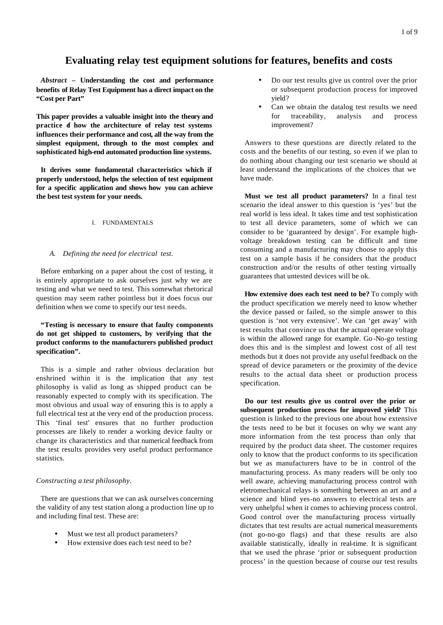# **Evaluating relay test equipment solutions for features, benefits and costs**

*Abstract* **– Understanding the cost and performance benefits of Relay Test Equipment has a direct impact on the "Cost per Part"**

**This paper provides a valuable insight into the theory and practice of how the architecture of relay test systems influences their performance and cost, all the way from the simplest equipment, through to the most complex and sophisticated high-end automated production line systems.** 

**It derives some fundamental characteristics which if properly understood, helps the selection of test equipment for a specific application and shows how you can achieve the best test system for your needs.**

### I. FUNDAMENTALS

### *A. Defining the need for electrical test.*

Before embarking on a paper about the cost of testing, it is entirely appropriate to ask ourselves just why we are testing and what we need to test. This somewhat rhetorical question may seem rather pointless but it does focus our definition when we come to specify our test needs.

# **"Testing is necessary to ensure that faulty components do not get shipped to customers, by verifying that the product conforms to the manufacturers published product specification".**

This is a simple and rather obvious declaration but enshrined within it is the implication that any test philosophy is valid as long as shipped product can be reasonably expected to comply with its specification. The most obvious and usual way of ensuring this is to apply a full electrical test at the very end of the production process. This 'final test' ensures that no further production processes are likely to render a working device faulty or change its characteristics and that numerical feedback from the test results provides very useful product performance statistics.

#### *Constructing a test philosophy.*

There are questions that we can ask ourselves concerning the validity of any test station along a production line up to and including final test. These are:

- Must we test all product parameters?
- How extensive does each test need to be?
- Do our test results give us control over the prior or subsequent production process for improved yield?
- Can we obtain the datalog test results we need for traceability, analysis and process improvement?

Answers to these questions are directly related to the costs and the benefits of our testing, so even if we plan to do nothing about changing our test scenario we should at least understand the implications of the choices that we have made.

**Must we test all product parameters?** In a final test scenario the ideal answer to this question is 'yes' but the real world is less ideal. It takes time and test sophistication to test all device parameters, some of which we can consider to be 'guaranteed by design'. For example highvoltage breakdown testing can be difficult and time consuming and a manufacturing may choose to apply this test on a sample basis if he considers that the product construction and/or the results of other testing virtually guarantees that untested devices will be ok.

**How extensive does each test need to be?** To comply with the product specification we merely need to know whether the device passed or failed, so the simple answer to this question is 'not very extensive'. We can 'get away' with test results that convince us that the actual operate voltage is within the allowed range for example. Go -No-go testing does this and is the simplest and lowest cost of all test methods but it does not provide any useful feedback on the spread of device parameters or the proximity of the device results to the actual data sheet or production process specification.

**Do our test results give us control over the prior or subsequent production process for improved yield?** This question is linked to the previous one about how extensive the tests need to be but it focuses on why we want any more information from the test process than only that required by the product data sheet. The customer requires only to know that the product conforms to its specification but we as manufacturers have to be in control of the manufacturing process. As many readers will be only too well aware, achieving manufacturing process control with eletromechanical relays is something between an art and a science and blind yes-no answers to electrical tests are very unhelpful when it comes to achieving process control. Good control over the manufacturing process virtually dictates that test results are actual numerical measurements (not go-no-go flags) and that these results are also available statistically, ideally in real-time. It is significant that we used the phrase 'prior or subsequent production process' in the question because of course our test results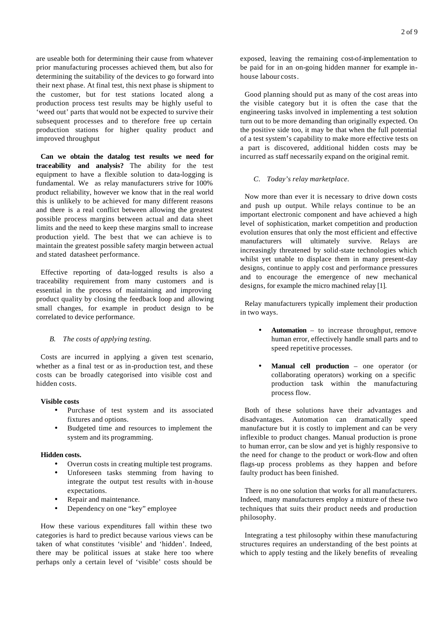are useable both for determining their cause from whatever prior manufacturing processes achieved them, but also for determining the suitability of the devices to go forward into their next phase. At final test, this next phase is shipment to the customer, but for test stations located along a production process test results may be highly useful to 'weed out' parts that would not be expected to survive their subsequent processes and to therefore free up certain production stations for higher quality product and improved throughput

**Can we obtain the datalog test results we need for traceability and analysis?** The ability for the test equipment to have a flexible solution to data-logging is fundamental. We as relay manufacturers strive for 100% product reliability, however we know that in the real world this is unlikely to be achieved for many different reasons and there is a real conflict between allowing the greatest possible process margins between actual and data sheet limits and the need to keep these margins small to increase production yield. The best that we can achieve is to maintain the greatest possible safety margin between actual and stated datasheet performance.

Effective reporting of data-logged results is also a traceability requirement from many customers and is essential in the process of maintaining and improving product quality by closing the feedback loop and allowing small changes, for example in product design to be correlated to device performance.

### *B. The costs of applying testing.*

Costs are incurred in applying a given test scenario, whether as a final test or as in-production test, and these costs can be broadly categorised into visible cost and hidden costs.

#### **Visible costs**

- Purchase of test system and its associated fixtures and options.
- Budgeted time and resources to implement the system and its programming.

#### **Hidden costs.**

- Overrun costs in creating multiple test programs.
- Unforeseen tasks stemming from having to integrate the output test results with in-house expectations.
- Repair and maintenance.
- Dependency on one "key" employee

How these various expenditures fall within these two categories is hard to predict because various views can be taken of what constitutes 'visible' and 'hidden'. Indeed, there may be political issues at stake here too where perhaps only a certain level of 'visible' costs should be

Good planning should put as many of the cost areas into the visible category but it is often the case that the engineering tasks involved in implementing a test solution turn out to be more demanding than originally expected. On the positive side too, it may be that when the full potential of a test system's capability to make more effective tests on a part is discovered, additional hidden costs may be incurred as staff necessarily expand on the original remit.

#### *C. Today's relay marketplace.*

Now more than ever it is necessary to drive down costs and push up output. While relays continue to be an important electronic component and have achieved a high level of sophistication, market competition and production evolution ensures that only the most efficient and effective manufacturers will ultimately survive. Relays are increasingly threatened by solid-state technologies which whilst yet unable to displace them in many present-day designs, continue to apply cost and performance pressures and to encourage the emergence of new mechanical designs, for example the micro machined relay [1].

Relay manufacturers typically implement their production in two ways.

- **Automation** to increase throughput, remove human error, effectively handle small parts and to speed repetitive processes.
- **Manual cell production** one operator (or collaborating operators) working on a specific production task within the manufacturing process flow.

Both of these solutions have their advantages and disadvantages. Automation can dramatically speed manufacture but it is costly to implement and can be very inflexible to product changes. Manual production is prone to human error, can be slow and yet is highly responsive to the need for change to the product or work-flow and often flags-up process problems as they happen and before faulty product has been finished.

There is no one solution that works for all manufacturers. Indeed, many manufacturers employ a mixture of these two techniques that suits their product needs and production philosophy.

Integrating a test philosophy within these manufacturing structures requires an understanding of the best points at which to apply testing and the likely benefits of revealing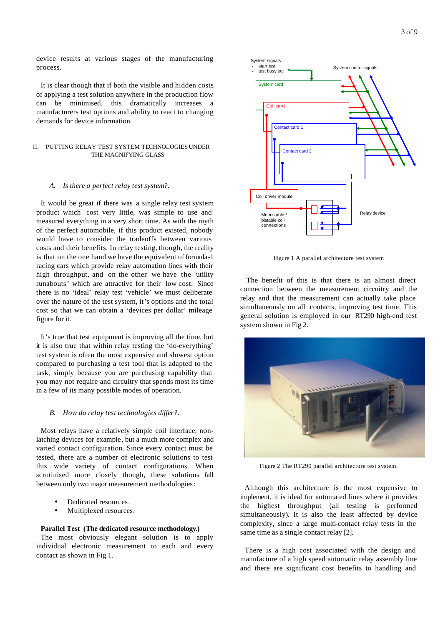device results at various stages of the manufacturing process.

It is clear though that if both the visible and hidden costs of applying a test solution anywhere in the production flow can be minimised, this dramatically increases a manufacturers test options and ability to react to changing demands for device information.

# II. PUTTING RELAY TEST SYSTEM TECHNOLOGIES UNDER THE MAGNIFYING GLASS

#### *A. Is there a perfect relay test system?.*

It would be great if there was a single relay test system product which cost very little, was simple to use and measured everything in a very short time. As with the myth of the perfect automobile, if this product existed, nobody would have to consider the tradeoffs between various costs and their benefits. In relay testing, though, the reality is that on the one hand we have the equivalent of formula-1 racing cars which provide relay automation lines with their high throughput, and on the other we have the 'utility runabouts' which are attractive for their low cost. Since there is no 'ideal' relay test 'vehicle' we must deliberate over the nature of the test system, it's options and the total cost so that we can obtain a 'devices per dollar' mileage figure for it.

It's true that test equipment is improving all the time, but it is also true that within relay testing the 'do-everything' test system is often the most expensive and slowest option compared to purchasing a test tool that is adapted to the task, simply because you are purchasing capability that you may not require and circuitry that spends most its time in a few of its many possible modes of operation.

#### *B. How do relay test technologies differ?.*

Most relays have a relatively simple coil interface, nonlatching devices for example, but a much more complex and varied contact configuration. Since every contact must be tested, there are a number of electronic solutions to test this wide variety of contact configurations. When scrutinised more closely though, these solutions fall between only two major measurement methodologies:

- Dedicated resources.
- Multiplexed resources.

#### **Parallel Test (The dedicated resource methodology.)**

The most obviously elegant solution is to apply individual electronic measurement to each and every contact as shown in Fig 1.



Figure 1 A parallel architecture test system

 The benefit of this is that there is an almost direct connection between the measurement circuitry and the relay and that the measurement can actually take place simultaneously on all contacts, improving test time. This general solution is employed in our RT290 high-end test system shown in Fig 2.



Figure 2 The RT290 parallel architecture test system.

Although this architecture is the most expensive to implement, it is ideal for automated lines where it provides the highest throughput (all testing is performed simultaneously). It is also the least affected by device complexity, since a large multi-contact relay tests in the same time as a single contact relay [2].

There is a high cost associated with the design and manufacture of a high speed automatic relay assembly line and there are significant cost benefits to handling and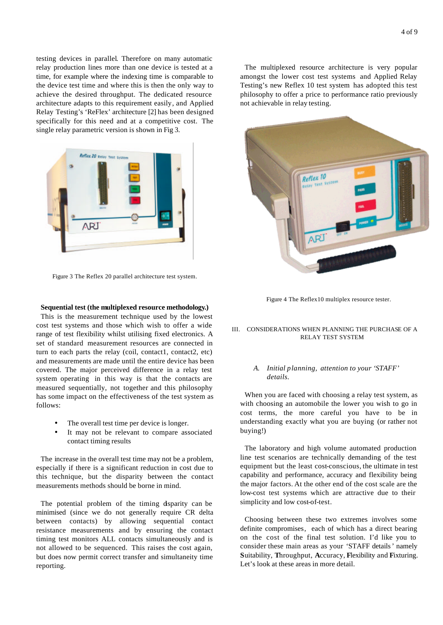testing devices in parallel. Therefore on many automatic relay production lines more than one device is tested at a time, for example where the indexing time is comparable to the device test time and where this is then the only way to achieve the desired throughput. The dedicated resource architecture adapts to this requirement easily, and Applied Relay Testing's 'ReFlex' architecture [2] has been designed specifically for this need and at a competitive cost. The single relay parametric version is shown in Fig 3.



Figure 3 The Reflex 20 parallel architecture test system.

#### **Sequential test (the multiplexed resource methodology.)**

This is the measurement technique used by the lowest cost test systems and those which wish to offer a wide range of test flexibility whilst utilising fixed electronics. A set of standard measurement resources are connected in turn to each parts the relay (coil, contact1, contact2, etc) and measurements are made until the entire device has been covered. The major perceived difference in a relay test system operating in this way is that the contacts are measured sequentially, not together and this philosophy has some impact on the effectiveness of the test system as follows:

- The overall test time per device is longer.
- It may not be relevant to compare associated contact timing results

The increase in the overall test time may not be a problem, especially if there is a significant reduction in cost due to this technique, but the disparity between the contact measurements methods should be borne in mind.

The potential problem of the timing disparity can be minimised (since we do not generally require CR delta between contacts) by allowing sequential contact resistance measurements and by ensuring the contact timing test monitors ALL contacts simultaneously and is not allowed to be sequenced. This raises the cost again, but does now permit correct transfer and simultaneity time reporting.

The multiplexed resource architecture is very popular amongst the lower cost test systems and Applied Relay Testing's new Reflex 10 test system has adopted this test philosophy to offer a price to performance ratio previously not achievable in relay testing.



Figure 4 The Reflex10 multiplex resource tester.

### III. CONSIDERATIONS WHEN PLANNING THE PURCHASE OF A RELAY TEST SYSTEM

# *A. Initial planning, attention to your 'STAFF' details.*

When you are faced with choosing a relay test system, as with choosing an automobile the lower you wish to go in cost terms, the more careful you have to be in understanding exactly what you are buying (or rather not buying!)

The laboratory and high volume automated production line test scenarios are technically demanding of the test equipment but the least cost-conscious, the ultimate in test capability and performance, accuracy and flexibility being the major factors. At the other end of the cost scale are the low-cost test systems which are attractive due to their simplicity and low cost-of-test.

Choosing between these two extremes involves some definite compromises, each of which has a direct bearing on the cost of the final test solution. I'd like you to consider these main areas as your 'STAFF details' namely **S**uitability, **T**hroughput, **A**ccuracy, **F**lexibility and **F**ixturing. Let's look at these areas in more detail.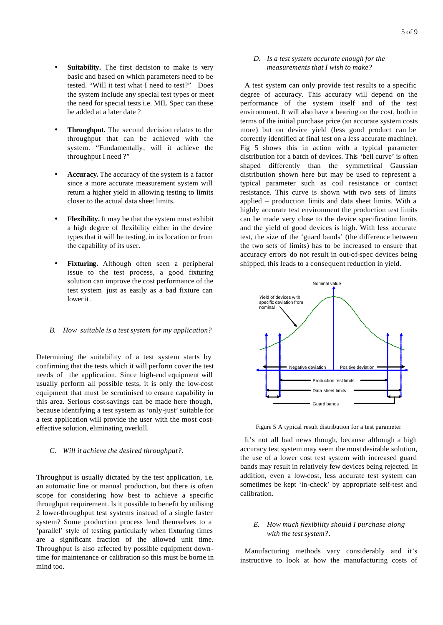- Suitability. The first decision to make is very basic and based on which parameters need to be tested. "Will it test what I need to test?" Does the system include any special test types or meet the need for special tests i.e. MIL Spec can these be added at a later date ?
- **Throughput.** The second decision relates to the throughput that can be achieved with the system. "Fundamentally, will it achieve the throughput I need ?"
- Accuracy. The accuracy of the system is a factor since a more accurate measurement system will return a higher yield in allowing testing to limits closer to the actual data sheet limits.
- **Flexibility.** It may be that the system must exhibit a high degree of flexibility either in the device types that it will be testing, in its location or from the capability of its user.
- **Fixturing.** Although often seen a peripheral issue to the test process, a good fixturing solution can improve the cost performance of the test system just as easily as a bad fixture can lower it.
- *B. How suitable is a test system for my application?*

Determining the suitability of a test system starts by confirming that the tests which it will perform cover the test needs of the application. Since high-end equipment will usually perform all possible tests, it is only the low-cost equipment that must be scrutinised to ensure capability in this area. Serious cost-savings can be made here though, because identifying a test system as 'only-just' suitable for a test application will provide the user with the most costeffective solution, eliminating overkill.

*C. Will it achieve the desired throughput?.*

Throughput is usually dictated by the test application, i.e. an automatic line or manual production, but there is often scope for considering how best to achieve a specific throughput requirement. Is it possible to benefit by utilising 2 lower-throughput test systems instead of a single faster system? Some production process lend themselves to a 'parallel' style of testing particularly when fixturing times are a significant fraction of the allowed unit time. Throughput is also affected by possible equipment downtime for maintenance or calibration so this must be borne in mind too.

### *D. Is a test system accurate enough for the measurements that I wish to make?*

A test system can only provide test results to a specific degree of accuracy. This accuracy will depend on the performance of the system itself and of the test environment. It will also have a bearing on the cost, both in terms of the initial purchase price (an accurate system costs more) but on device yield (less good product can be correctly identified at final test on a less accurate machine). Fig 5 shows this in action with a typical parameter distribution for a batch of devices. This 'bell curve' is often shaped differently than the symmetrical Gaussian distribution shown here but may be used to represent a typical parameter such as coil resistance or contact resistance. This curve is shown with two sets of limits applied – production limits and data sheet limits. With a highly accurate test environment the production test limits can be made very close to the device specification limits and the yield of good devices is high. With less accurate test, the size of the 'guard bands' (the difference between the two sets of limits) has to be increased to ensure that accuracy errors do not result in out-of-spec devices being shipped, this leads to a consequent reduction in yield.



Figure 5 A typical result distribution for a test parameter

It's not all bad news though, because although a high accuracy test system may seem the most desirable solution, the use of a lower cost test system with increased guard bands may result in relatively few devices being rejected. In addition, even a low-cost, less accurate test system can sometimes be kept 'in-check' by appropriate self-test and calibration.

# *E. How much flexibility should I purchase along with the test system?.*

Manufacturing methods vary considerably and it's instructive to look at how the manufacturing costs of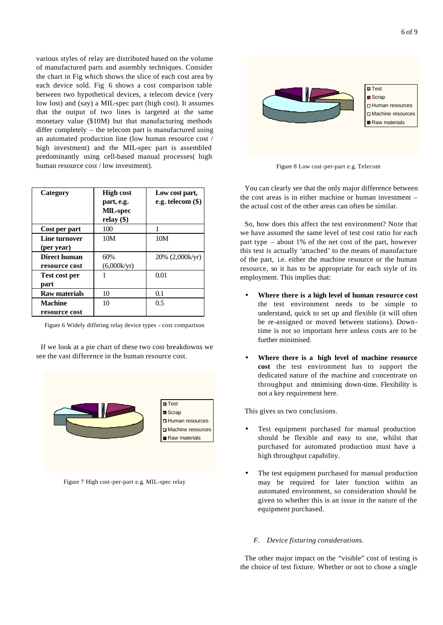various styles of relay are distributed based on the volume of manufactured parts and assembly techniques. Consider the chart in Fig which shows the slice of each cost area by each device sold. Fig 6 shows a cost comparison table between two hypothetical devices, a telecom device (very low lost) and (say) a MIL-spec part (high cost). It assumes that the output of two lines is targeted at the same monetary value (\$10M) but that manufacturing methods differ completely – the telecom part is manufactured using an automated production line (low human resource cost / high investment) and the MIL-spec part is assembled predominantly using cell-based manual processes( high human resource cost / low investment).

| Category                        | <b>High cost</b><br>part, e.g.<br>MIL-spec<br>relay $(\$)$ | Low cost part,<br>e.g. telecom $(\$)$ |
|---------------------------------|------------------------------------------------------------|---------------------------------------|
| Cost per part                   | 100                                                        |                                       |
| Line turnover<br>(per year)     | 10M                                                        | 10M                                   |
| Direct human<br>resource cost   | 60%<br>(6,000k/yr)                                         | 20% (2,000k/yr)                       |
| <b>Test cost per</b><br>part    |                                                            | 0.01                                  |
| <b>Raw materials</b>            | 10                                                         | 0.1                                   |
| <b>Machine</b><br>resource cost | 10                                                         | 0.5                                   |

Figure 6 Widely differing relay device types - cost comparison

If we look at a pie chart of these two cost breakdowns we see the vast difference in the human resource cost.



Figure 7 High cost-per-part e.g. MIL-spec relay



Figure 8 Low cost-per-part e.g. Telecom

You can clearly see that the only major difference between the cost areas is in either machine or human investment – the actual cost of the other areas can often be similar.

So, how does this affect the test environment? Note that we have assumed the same level of test cost ratio for each part type – about 1% of the net cost of the part, however this test is actually 'attached' to the means of manufacture of the part, i.e. either the machine resource or the human resource, so it has to be appropriate for each style of its employment. This implies that:

- **Where there is a high level of human resource cost** the test environment needs to be simple to understand, quick to set up and flexible (it will often be re-assigned or moved between stations). Downtime is not so important here unless costs are to be further minimised.
- **Where there is a high level of machine resource cost** the test environment has to support the dedicated nature of the machine and concentrate on throughput and minimising down-time. Flexibility is not a key requirement here.

This gives us two conclusions.

- Test equipment purchased for manual production should be flexible and easy to use, whilst that purchased for automated production must have a high throughput capability.
- The test equipment purchased for manual production may be required for later function within an automated environment, so consideration should be given to whether this is an issue in the nature of the equipment purchased.

#### *F. Device fixturing considerations.*

The other major impact on the "visible" cost of testing is the choice of test fixture. Whether or not to chose a single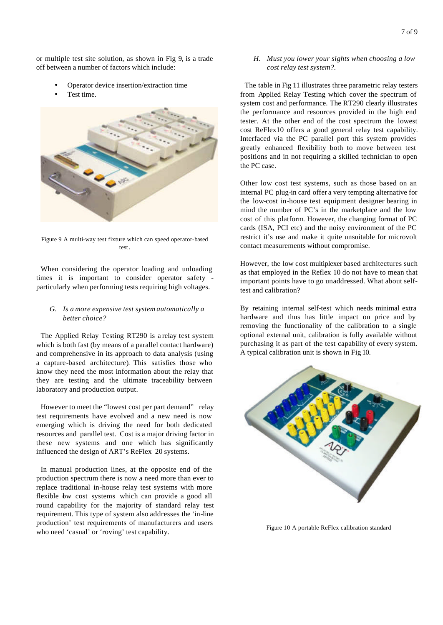or multiple test site solution, as shown in Fig 9, is a trade off between a number of factors which include:

- Operator device insertion/extraction time
- Test time.



Figure 9 A multi-way test fixture which can speed operator-based test.

When considering the operator loading and unloading times it is important to consider operator safety particularly when performing tests requiring high voltages.

# *G. Is a more expensive test system automatically a better choice?*

The Applied Relay Testing RT290 is a relay test system which is both fast (by means of a parallel contact hardware) and comprehensive in its approach to data analysis (using a capture-based architecture). This satisfies those who know they need the most information about the relay that they are testing and the ultimate traceability between laboratory and production output.

However to meet the "lowest cost per part demand" relay test requirements have evolved and a new need is now emerging which is driving the need for both dedicated resources and parallel test. Cost is a major driving factor in these new systems and one which has significantly influenced the design of ART's ReFlex 20 systems.

In manual production lines, at the opposite end of the production spectrum there is now a need more than ever to replace traditional in-house relay test systems with more flexible bw cost systems which can provide a good all round capability for the majority of standard relay test requirement. This type of system also addresses the 'in-line production' test requirements of manufacturers and users who need 'casual' or 'roving' test capability.

# *H. Must you lower your sights when choosing a low cost relay test system?.*

The table in Fig 11 illustrates three parametric relay testers from Applied Relay Testing which cover the spectrum of system cost and performance. The RT290 clearly illustrates the performance and resources provided in the high end tester. At the other end of the cost spectrum the lowest cost ReFlex10 offers a good general relay test capability. Interfaced via the PC parallel port this system provides greatly enhanced flexibility both to move between test positions and in not requiring a skilled technician to open the PC case.

Other low cost test systems, such as those based on an internal PC plug-in card offer a very tempting alternative for the low-cost in-house test equipment designer bearing in mind the number of PC's in the marketplace and the low cost of this platform. However, the changing format of PC cards (ISA, PCI etc) and the noisy environment of the PC restrict it's use and make it quite unsuitable for microvolt contact measurements without compromise.

However, the low cost multiplexer based architectures such as that employed in the Reflex 10 do not have to mean that important points have to go unaddressed. What about selftest and calibration?

By retaining internal self-test which needs minimal extra hardware and thus has little impact on price and by removing the functionality of the calibration to a single optional external unit, calibration is fully available without purchasing it as part of the test capability of every system. A typical calibration unit is shown in Fig 10.



Figure 10 A portable ReFlex calibration standard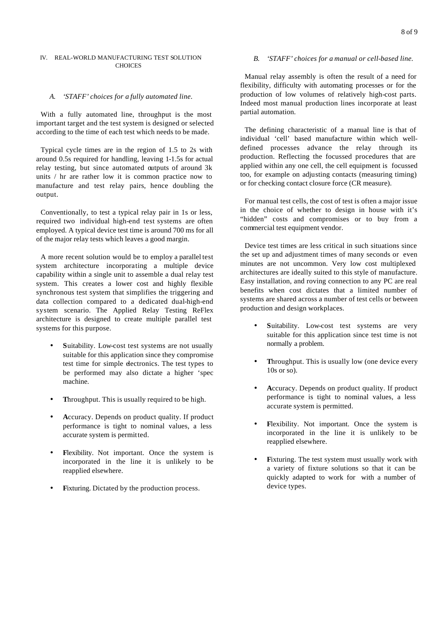# IV. REAL-WORLD MANUFACTURING TEST SOLUTION **CHOICES**

# *A. 'STAFF' choices for a fully automated line.*

With a fully automated line, throughput is the most important target and the test system is designed or selected according to the time of each test which needs to be made.

Typical cycle times are in the region of 1.5 to 2s with around 0.5s required for handling, leaving 1-1.5s for actual relay testing, but since automated outputs of around 3k units / hr are rather low it is common practice now to manufacture and test relay pairs, hence doubling the output.

Conventionally, to test a typical relay pair in 1s or less, required two individual high-end test systems are often employed. A typical device test time is around 700 ms for all of the major relay tests which leaves a good margin.

A more recent solution would be to employ a parallel test system architecture incorporating a multiple device capability within a single unit to assemble a dual relay test system. This creates a lower cost and highly flexible synchronous test system that simplifies the triggering and data collection compared to a dedicated dual-high-end system scenario. The Applied Relay Testing ReFlex architecture is designed to create multiple parallel test systems for this purpose.

- **S**uitability. Low-cost test systems are not usually suitable for this application since they compromise test time for simple electronics. The test types to be performed may also dictate a higher 'spec machine.
- **T**hroughput. This is usually required to be high.
- **A**ccuracy. Depends on product quality. If product performance is tight to nominal values, a less accurate system is permitted.
- **Flexibility.** Not important. Once the system is incorporated in the line it is unlikely to be reapplied elsewhere.
- Fixturing. Dictated by the production process.

# *B. 'STAFF' choices for a manual or cell-based line.*

Manual relay assembly is often the result of a need for flexibility, difficulty with automating processes or for the production of low volumes of relatively high-cost parts. Indeed most manual production lines incorporate at least partial automation.

The defining characteristic of a manual line is that of individual 'cell' based manufacture within which welldefined processes advance the relay through its production. Reflecting the focussed procedures that are applied within any one cell, the cell equipment is focussed too, for example on adjusting contacts (measuring timing) or for checking contact closure force (CR measure).

For manual test cells, the cost of test is often a major issue in the choice of whether to design in house with it's "hidden" costs and compromises or to buy from a commercial test equipment vendor.

Device test times are less critical in such situations since the set up and adjustment times of many seconds or even minutes are not uncommon. Very low cost multiplexed architectures are ideally suited to this style of manufacture. Easy installation, and roving connection to any PC are real benefits when cost dictates that a limited number of systems are shared across a number of test cells or between production and design workplaces.

- Suitability. Low-cost test systems are very suitable for this application since test time is not normally a problem.
- Throughput. This is usually low (one device every 10s or so).
- **A**ccuracy. Depends on product quality. If product performance is tight to nominal values, a less accurate system is permitted.
- Flexibility. Not important. Once the system is incorporated in the line it is unlikely to be reapplied elsewhere.
- **Fixturing.** The test system must usually work with a variety of fixture solutions so that it can be quickly adapted to work for with a number of device types.